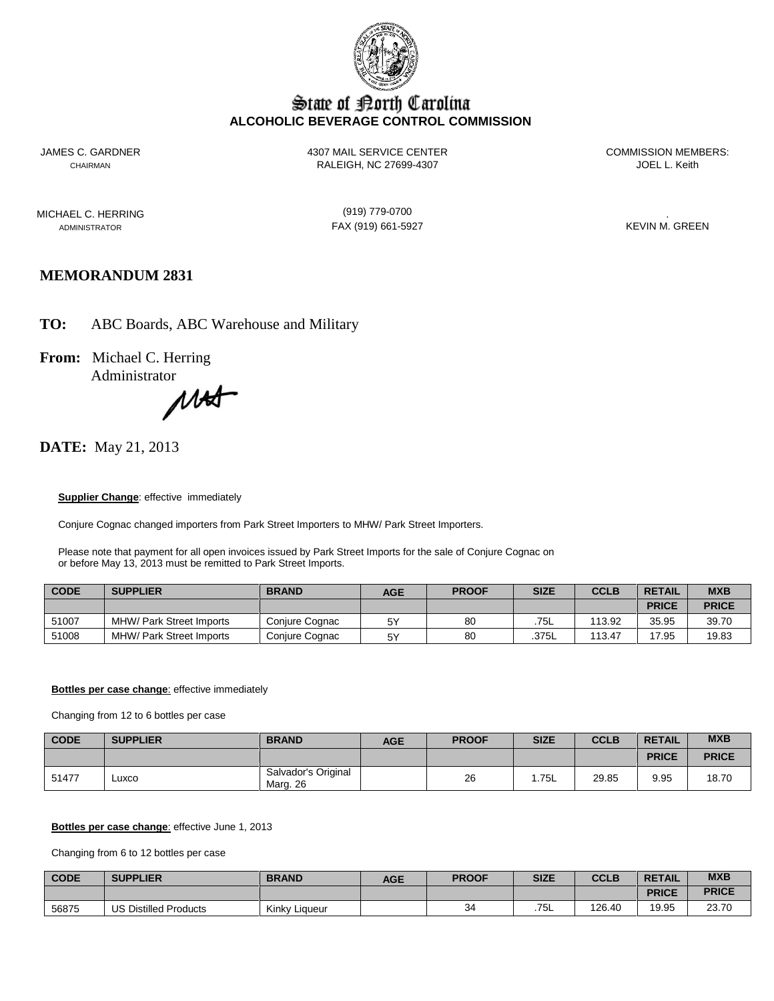

# State of Borth Carolina **ALCOHOLIC BEVERAGE CONTROL COMMISSION**

JAMES C. GARDNER 4307 MAIL SERVICE CENTER COMMISSION MEMBERS: CHAIRMAN CHAIRMAN RALEIGH, NC 27699-4307

MICHAEL C. HERRING (919) 779-0700 .

ADMINISTRATOR FAX (919) 661-5927

# **MEMORANDUM 2831**

**TO:** ABC Boards, ABC Warehouse and Military

**From:** Michael C. Herring

Administrator<br>
MA

# **DATE:** May 21, 2013

#### **Supplier Change:** effective immediately

Conjure Cognac changed importers from Park Street Importers to MHW/ Park Street Importers.

Please note that payment for all open invoices issued by Park Street Imports for the sale of Conjure Cognac on or before May 13, 2013 must be remitted to Park Street Imports.

| <b>CODE</b> | <b>SUPPLIER</b>                 | <b>BRAND</b>   | <b>AGE</b> | <b>PROOF</b> | <b>SIZE</b> | <b>CCLB</b> | <b>RETAIL</b> | <b>MXB</b>   |
|-------------|---------------------------------|----------------|------------|--------------|-------------|-------------|---------------|--------------|
|             |                                 |                |            |              |             |             | <b>PRICE</b>  | <b>PRICE</b> |
| 51007       | <b>MHW/ Park Street Imports</b> | Coniure Cognac | 5Υ         | 80           | .75L        | 113.92      | 35.95         | 39.70        |
| 51008       | MHW/ Park Street Imports        | Conjure Cognac | 5Υ         | 80           | .375L       | 113.47      | 17.95         | 19.83        |

#### **Bottles per case change:** effective immediately

Changing from 12 to 6 bottles per case

| <b>CODE</b> | <b>SUPPLIER</b> | <b>BRAND</b>                    | <b>AGE</b> | <b>PROOF</b> | <b>SIZE</b> | <b>CCLB</b> | <b>RETAIL</b> | <b>MXB</b>   |
|-------------|-----------------|---------------------------------|------------|--------------|-------------|-------------|---------------|--------------|
|             |                 |                                 |            |              |             |             | <b>PRICE</b>  | <b>PRICE</b> |
| 51477       | Luxco           | Salvador's Original<br>Marg. 26 |            | 26           | .75L        | 29.85       | 9.95          | 18.70        |

#### **Bottles per case change**: effective June 1, 2013

Changing from 6 to 12 bottles per case

| <b>CODE</b> | <b>SUPPLIER</b>              | <b>BRAND</b>  | AGE | <b>PROOF</b> | <b>SIZE</b> | <b>CCLB</b> | <b>RETAIL</b> | <b>MXB</b>   |
|-------------|------------------------------|---------------|-----|--------------|-------------|-------------|---------------|--------------|
|             |                              |               |     |              |             |             | <b>PRICE</b>  | <b>PRICE</b> |
| 56875       | <b>US Distilled Products</b> | Kinky Liqueur |     | $\sim$<br>34 | 75<br>ـان ، | 126.40      | 19.95         | 23.70        |